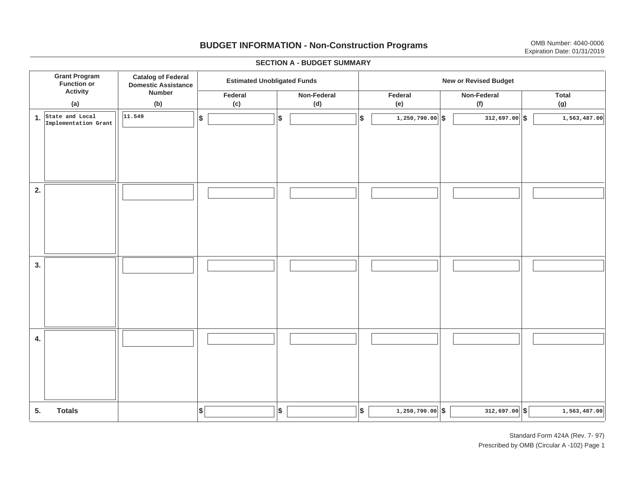# **BUDGET INFORMATION - Non-Construction Programs** OMB Number: 4040-0006 **Expiration Date: 01/31/2019**

**\$ Grant Program Function or Activity (a) Catalog of Federal Domestic Assistance Number (b) Estimated Unobligated Funds New or Revised Budget Federal(c) Non-Federal(d) Federal(e) Non-Federal (f) Total(g) 5. Totals4. 3. 2. 1.State and Local \$\$\$\$ \$ \$ \$ \$ \$ 1,250,790.00 312,697.00 1,563,487.00** I I I I I I I I I **Implementation Grant 11.5491,250,790.00 5 1,250,790.00 5 1,563,487.00 5 1,563,487.00** I I I I I I I I I I I I I I I I I I I I I I I I I I I I I I I I I I I I I I I I I I I I

#### **SECTION A - BUDGET SUMMARY**

Standard Form 424A (Rev. 7- 97) Prescribed by OMB (Circular A -102) Page 1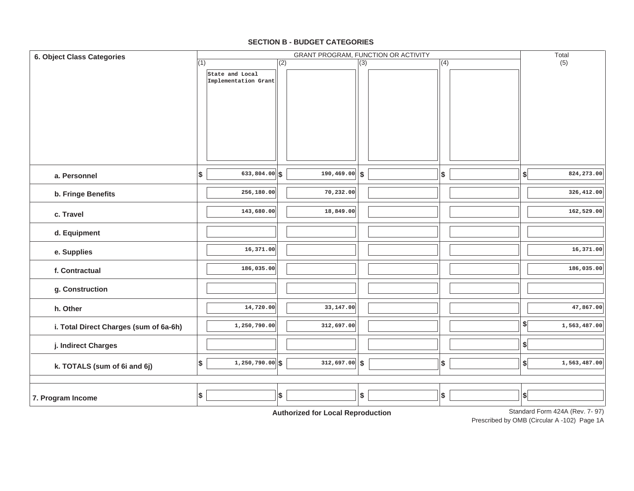#### **7. Program Income d. Equipment e. Supplies f. Contractualg. Construction h. Otherj. Indirect Charges k. TOTALS (sum of 6i and 6j) i. Total Direct Charges (sum of 6a-6h)** (1) Standard Form 424A (Rev. 7- 97) GRANT PROGRAM, FUNCTION OR ACTIVITY (2) (3) (4) (5) **6. Object Class Categories** Total **a. Personnelb. Fringe Benefits c. TravelState and Local Implementation Grant 633,804.00 \$ \$ \$ \$ \$ 256,180.00 143,680.00 16,371.00 186,035.00 14,720.00 1,250,790.00 1,250,790.00 \$ \$ \$ \$ \$ 190,469.00 70,232.00 18,849.00 33,147.00 312,697.00 312,697.00 824,273.00 326,412.00 162,529.00 16,371.00 186,035.00 47,867.00 1,563,487.00 1,563,487.00** I I I **\$ \$ \$ \$ \$ \$ \$** I I I I I I I I I I I I I I I I I I I I I  $\parallel$  I  $\parallel$  I  $\parallel$  S I I I

#### **SECTION B - BUDGET CATEGORIES**

**Authorized for Local Reproduction**

Prescribed by OMB (Circular A -102) Page 1A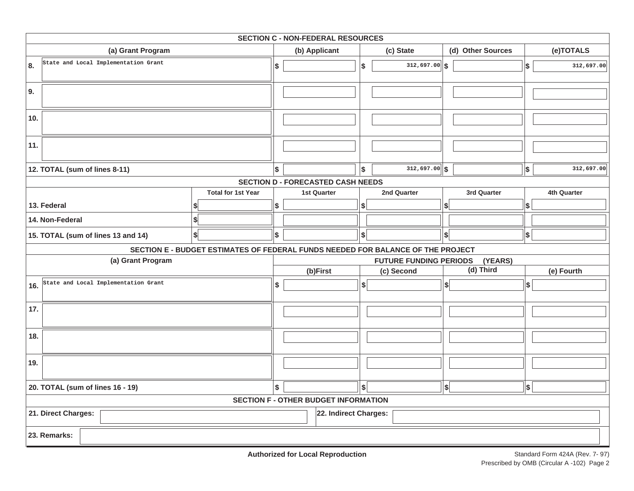| <b>SECTION C - NON-FEDERAL RESOURCES</b> |                               |                                      |                                                                                 |     |                                             |     |                               |                              |                           |             |
|------------------------------------------|-------------------------------|--------------------------------------|---------------------------------------------------------------------------------|-----|---------------------------------------------|-----|-------------------------------|------------------------------|---------------------------|-------------|
| (a) Grant Program                        |                               |                                      |                                                                                 |     | (b) Applicant                               |     | (c) State                     | (d) Other Sources            |                           | (e)TOTALS   |
| 8.                                       |                               | State and Local Implementation Grant |                                                                                 | \$  |                                             | \$  | $312,697.00$ \$               |                              | \$                        | 312,697.00  |
| 9.                                       |                               |                                      |                                                                                 |     |                                             |     |                               |                              |                           |             |
| 10.                                      |                               |                                      |                                                                                 |     |                                             |     |                               |                              |                           |             |
| 11.                                      |                               |                                      |                                                                                 |     |                                             |     |                               |                              |                           |             |
|                                          | 12. TOTAL (sum of lines 8-11) |                                      |                                                                                 | l\$ |                                             | l\$ | $312,697.00$ \$               |                              | \$                        | 312,697.00  |
|                                          |                               |                                      |                                                                                 |     | <b>SECTION D - FORECASTED CASH NEEDS</b>    |     |                               |                              |                           |             |
|                                          |                               |                                      | <b>Total for 1st Year</b>                                                       |     | <b>1st Quarter</b>                          |     | 2nd Quarter                   | 3rd Quarter                  |                           | 4th Quarter |
|                                          | 13. Federal                   |                                      |                                                                                 | \$  |                                             | \$  |                               | \$                           | \$                        |             |
|                                          | 14. Non-Federal               |                                      | \$                                                                              |     |                                             |     |                               |                              |                           |             |
|                                          |                               | 15. TOTAL (sum of lines 13 and 14)   | \$                                                                              | \$  |                                             | \$  |                               | $\vert \mathsf{s} \vert$     | $\boldsymbol{\mathsf{s}}$ |             |
|                                          |                               |                                      | SECTION E - BUDGET ESTIMATES OF FEDERAL FUNDS NEEDED FOR BALANCE OF THE PROJECT |     |                                             |     |                               |                              |                           |             |
|                                          |                               | (a) Grant Program                    |                                                                                 |     |                                             |     | <b>FUTURE FUNDING PERIODS</b> | (YEARS)                      |                           |             |
|                                          |                               |                                      |                                                                                 |     | (b)First                                    |     | (c) Second                    | (d) Third                    |                           | (e) Fourth  |
| 16.                                      |                               | State and Local Implementation Grant |                                                                                 | \$  |                                             | s   |                               | $\left  \frac{1}{2} \right $ | \$                        |             |
| 17.                                      |                               |                                      |                                                                                 |     |                                             |     |                               |                              |                           |             |
| 18.                                      |                               |                                      |                                                                                 |     |                                             |     |                               |                              |                           |             |
| 19.                                      |                               |                                      |                                                                                 |     |                                             |     |                               |                              |                           |             |
| 20. TOTAL (sum of lines 16 - 19)         |                               |                                      | \$                                                                              |     | s                                           |     | $\left  \right $              | \$                           |                           |             |
|                                          |                               |                                      |                                                                                 |     | <b>SECTION F - OTHER BUDGET INFORMATION</b> |     |                               |                              |                           |             |
|                                          | 21. Direct Charges:           |                                      |                                                                                 |     | 22. Indirect Charges:                       |     |                               |                              |                           |             |
|                                          | 23. Remarks:                  |                                      |                                                                                 |     |                                             |     |                               |                              |                           |             |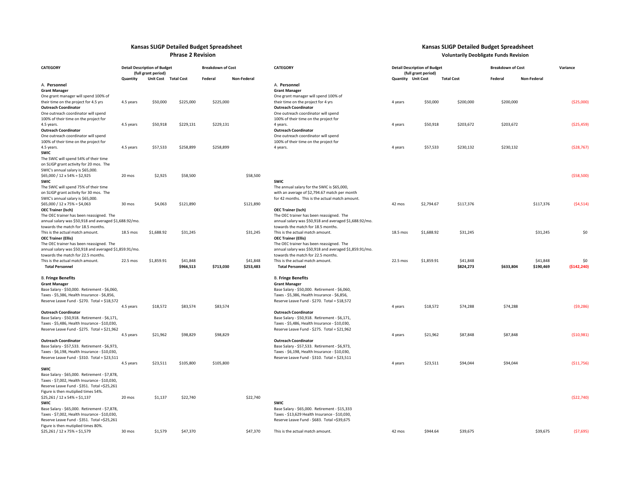# **Kansas SLIGP Detailed Budget Spreadsheet Kansas SLIGP Detailed Budget Spreadsheet Phrase 2 Revision Voluntarily Deobligate Funds Revision**

| <b>CATEGORY</b>                                                                    | <b>Detail Description of Budget</b><br>(full grant period) |                  |                       | <b>Breakdown of Cost</b> |                       | <b>CATEGORY</b>                                                                                  |                           | <b>Detail Description of Budget</b><br>(full grant period) |                       | <b>Breakdown of Cost</b> | Variance              |                    |
|------------------------------------------------------------------------------------|------------------------------------------------------------|------------------|-----------------------|--------------------------|-----------------------|--------------------------------------------------------------------------------------------------|---------------------------|------------------------------------------------------------|-----------------------|--------------------------|-----------------------|--------------------|
|                                                                                    | Quantity                                                   | <b>Unit Cost</b> | <b>Total Cost</b>     | Federal                  | <b>Non-Federal</b>    |                                                                                                  | <b>Quantity</b> Unit Cost |                                                            | <b>Total Cost</b>     | Federal                  | <b>Non-Federal</b>    |                    |
| A. Personnel                                                                       |                                                            |                  |                       |                          |                       | A. Personnel                                                                                     |                           |                                                            |                       |                          |                       |                    |
| <b>Grant Manager</b>                                                               |                                                            |                  |                       |                          |                       | <b>Grant Manager</b>                                                                             |                           |                                                            |                       |                          |                       |                    |
| One grant manager will spend 100% of                                               |                                                            |                  |                       |                          |                       | One grant manager will spend 100% of                                                             |                           |                                                            |                       |                          |                       |                    |
| their time on the project for 4.5 yrs                                              | 4.5 years                                                  | \$50,000         | \$225,000             | \$225,000                |                       | their time on the project for 4 yrs                                                              | 4 years                   | \$50,000                                                   | \$200,000             | \$200,000                |                       | ( \$25,000)        |
| <b>Outreach Coordinator</b><br>One outreach coordinator will spend                 |                                                            |                  |                       |                          |                       | <b>Outreach Coordinator</b><br>One outreach coordinator will spend                               |                           |                                                            |                       |                          |                       |                    |
|                                                                                    |                                                            |                  |                       |                          |                       | 100% of their time on the project for                                                            |                           |                                                            |                       |                          |                       |                    |
| 100% of their time on the project for<br>4.5 years.                                | 4.5 years                                                  | \$50,918         | \$229,131             | \$229,131                |                       | 4 years.                                                                                         | 4 years                   | \$50,918                                                   | \$203,672             | \$203,672                |                       | ( \$25,459)        |
| <b>Outreach Coordinator</b>                                                        |                                                            |                  |                       |                          |                       | <b>Outreach Coordinator</b>                                                                      |                           |                                                            |                       |                          |                       |                    |
| One outreach coordinator will spend                                                |                                                            |                  |                       |                          |                       | One outreach coordinator will spend                                                              |                           |                                                            |                       |                          |                       |                    |
| 100% of their time on the project for                                              |                                                            |                  |                       |                          |                       | 100% of their time on the project for                                                            |                           |                                                            |                       |                          |                       |                    |
| 4.5 years.                                                                         | 4.5 years                                                  | \$57,533         | \$258,899             | \$258,899                |                       | 4 years.                                                                                         | 4 years                   | \$57,533                                                   | \$230,132             | \$230,132                |                       | (528, 767)         |
| <b>SWIC</b>                                                                        |                                                            |                  |                       |                          |                       |                                                                                                  |                           |                                                            |                       |                          |                       |                    |
| The SWIC will spend 54% of their time                                              |                                                            |                  |                       |                          |                       |                                                                                                  |                           |                                                            |                       |                          |                       |                    |
| on SLIGP grant activity for 20 mos. The                                            |                                                            |                  |                       |                          |                       |                                                                                                  |                           |                                                            |                       |                          |                       |                    |
| SWIC's annual salary is \$65,000.                                                  |                                                            |                  |                       |                          |                       |                                                                                                  |                           |                                                            |                       |                          |                       |                    |
| $$65,000 / 12 \times 54\% = $2,925$                                                | 20 mos                                                     | \$2,925          | \$58,500              |                          | \$58,500              |                                                                                                  |                           |                                                            |                       |                          |                       | (558,500)          |
| <b>SWIC</b>                                                                        |                                                            |                  |                       |                          |                       | <b>SWIC</b>                                                                                      |                           |                                                            |                       |                          |                       |                    |
| The SWIC will spend 75% of their time                                              |                                                            |                  |                       |                          |                       | The annual salary for the SWIC is \$65,000,                                                      |                           |                                                            |                       |                          |                       |                    |
| on SLIGP grant activity for 30 mos. The<br>SWIC's annual salary is \$65,000.       |                                                            |                  |                       |                          |                       | with an average of \$2,794.67 match per month<br>for 42 months. This is the actual match amount. |                           |                                                            |                       |                          |                       |                    |
| $$65,000 / 12 \times 75\% = $4,063$                                                | 30 mos                                                     | \$4,063          | \$121,890             |                          | \$121,890             |                                                                                                  | 42 mos                    | \$2,794.67                                                 | \$117,376             |                          | \$117,376             | (54, 514)          |
| <b>OEC Trainer (Isch)</b>                                                          |                                                            |                  |                       |                          |                       | <b>OEC Trainer (Isch)</b>                                                                        |                           |                                                            |                       |                          |                       |                    |
| The OEC trainer has been reassigned. The                                           |                                                            |                  |                       |                          |                       | The OEC trainer has been reassigned. The                                                         |                           |                                                            |                       |                          |                       |                    |
| annual salary was \$50,918 and averaged \$1,688.92/mo.                             |                                                            |                  |                       |                          |                       | annual salary was \$50,918 and averaged \$1,688.92/mo.                                           |                           |                                                            |                       |                          |                       |                    |
| towards the match for 18.5 months.                                                 |                                                            |                  |                       |                          |                       | towards the match for 18.5 months.                                                               |                           |                                                            |                       |                          |                       |                    |
| This is the actual match amount.                                                   | 18.5 mos                                                   | \$1,688.92       | \$31,245              |                          | \$31,245              | This is the actual match amount.                                                                 | 18.5 mos                  | \$1,688.92                                                 | \$31,245              |                          | \$31,245              | \$0                |
| <b>OEC Trainer (Ellis)</b>                                                         |                                                            |                  |                       |                          |                       | <b>OEC Trainer (Ellis)</b>                                                                       |                           |                                                            |                       |                          |                       |                    |
| The OEC trainer has been reassigned. The                                           |                                                            |                  |                       |                          |                       | The OEC trainer has been reassigned. The                                                         |                           |                                                            |                       |                          |                       |                    |
| annual salary was \$50,918 and averaged \$1,859.91/mo.                             |                                                            |                  |                       |                          |                       | annual salary was \$50,918 and averaged \$1,859.91/mo.                                           |                           |                                                            |                       |                          |                       |                    |
| towards the match for 22.5 months.                                                 |                                                            |                  |                       |                          |                       | towards the match for 22.5 months.                                                               |                           |                                                            |                       |                          |                       |                    |
| This is the actual match amount.<br><b>Total Personnel</b>                         | 22.5 mos                                                   | \$1,859.91       | \$41,848<br>\$966,513 | \$713,030                | \$41,848<br>\$253,483 | This is the actual match amount.<br><b>Total Personnel</b>                                       | 22.5 mos                  | \$1,859.91                                                 | \$41,848<br>\$824,273 | \$633,804                | \$41,848<br>\$190,469 | \$0<br>(\$142,240) |
|                                                                                    |                                                            |                  |                       |                          |                       |                                                                                                  |                           |                                                            |                       |                          |                       |                    |
| <b>B. Fringe Benefits</b>                                                          |                                                            |                  |                       |                          |                       | <b>B. Fringe Benefits</b>                                                                        |                           |                                                            |                       |                          |                       |                    |
| <b>Grant Manager</b>                                                               |                                                            |                  |                       |                          |                       | <b>Grant Manager</b>                                                                             |                           |                                                            |                       |                          |                       |                    |
| Base Salary - \$50,000. Retirement - \$6,060,                                      |                                                            |                  |                       |                          |                       | Base Salary - \$50,000. Retirement - \$6,060,                                                    |                           |                                                            |                       |                          |                       |                    |
| Taxes - \$5,386, Health Insurance - \$6,856,                                       |                                                            |                  |                       |                          |                       | Taxes - \$5,386, Health Insurance - \$6,856,                                                     |                           |                                                            |                       |                          |                       |                    |
| Reserve Leave Fund - \$270. Total = \$18,572                                       |                                                            |                  |                       |                          |                       | Reserve Leave Fund - \$270. Total = \$18,572                                                     |                           |                                                            |                       |                          |                       |                    |
|                                                                                    | 4.5 years                                                  | \$18,572         | \$83,574              | \$83,574                 |                       |                                                                                                  | 4 years                   | \$18,572                                                   | \$74,288              | \$74,288                 |                       | (59, 286)          |
| <b>Outreach Coordinator</b><br>Base Salary - \$50,918. Retirement - \$6,171,       |                                                            |                  |                       |                          |                       | <b>Outreach Coordinator</b><br>Base Salary - \$50,918. Retirement - \$6,171,                     |                           |                                                            |                       |                          |                       |                    |
| Taxes - \$5,486, Health Insurance - \$10,030,                                      |                                                            |                  |                       |                          |                       | Taxes - \$5,486, Health Insurance - \$10,030,                                                    |                           |                                                            |                       |                          |                       |                    |
| Reserve Leave Fund - \$275. Total = \$21,962                                       |                                                            |                  |                       |                          |                       | Reserve Leave Fund - \$275. Total = \$21,962                                                     |                           |                                                            |                       |                          |                       |                    |
|                                                                                    | 4.5 years                                                  | \$21,962         | \$98,829              | \$98,829                 |                       |                                                                                                  | 4 years                   | \$21,962                                                   | \$87,848              | \$87,848                 |                       | (510,981)          |
| <b>Outreach Coordinator</b>                                                        |                                                            |                  |                       |                          |                       | <b>Outreach Coordinator</b>                                                                      |                           |                                                            |                       |                          |                       |                    |
| Base Salary - \$57,533. Retirement - \$6,973,                                      |                                                            |                  |                       |                          |                       | Base Salary - \$57,533. Retirement - \$6,973,                                                    |                           |                                                            |                       |                          |                       |                    |
| Taxes - \$6,198, Health Insurance - \$10,030,                                      |                                                            |                  |                       |                          |                       | Taxes - \$6,198, Health Insurance - \$10,030,                                                    |                           |                                                            |                       |                          |                       |                    |
| Reserve Leave Fund - \$310. Total = \$23,511                                       |                                                            |                  |                       |                          |                       | Reserve Leave Fund - \$310. Total = \$23,511                                                     |                           |                                                            |                       |                          |                       |                    |
|                                                                                    | 4.5 years                                                  | \$23,511         | \$105,800             | \$105,800                |                       |                                                                                                  | 4 years                   | \$23,511                                                   | \$94,044              | \$94,044                 |                       | ( \$11,756)        |
| <b>SWIC</b>                                                                        |                                                            |                  |                       |                          |                       |                                                                                                  |                           |                                                            |                       |                          |                       |                    |
| Base Salary - \$65,000. Retirement - \$7,878,                                      |                                                            |                  |                       |                          |                       |                                                                                                  |                           |                                                            |                       |                          |                       |                    |
| Taxes - \$7,002, Health Insurance - \$10,030,                                      |                                                            |                  |                       |                          |                       |                                                                                                  |                           |                                                            |                       |                          |                       |                    |
| Reserve Leave Fund - \$351. Total =\$25,261<br>Figure is then mutiplied times 54%. |                                                            |                  |                       |                          |                       |                                                                                                  |                           |                                                            |                       |                          |                       |                    |
| $$25,261 / 12 \times 54\% = $1,137$                                                | 20 mos                                                     | \$1,137          | \$22,740              |                          | \$22,740              |                                                                                                  |                           |                                                            |                       |                          |                       | (522, 740)         |
| <b>SWIC</b>                                                                        |                                                            |                  |                       |                          |                       | <b>SWIC</b>                                                                                      |                           |                                                            |                       |                          |                       |                    |
| Base Salary - \$65,000. Retirement - \$7,878,                                      |                                                            |                  |                       |                          |                       | Base Salary - \$65,000. Retirement - \$15,333                                                    |                           |                                                            |                       |                          |                       |                    |
| Taxes - \$7,002, Health Insurance - \$10,030,                                      |                                                            |                  |                       |                          |                       | Taxes - \$13,629 Health Insurance - \$10,030,                                                    |                           |                                                            |                       |                          |                       |                    |
| Reserve Leave Fund - \$351. Total =\$25,261                                        |                                                            |                  |                       |                          |                       | Reserve Leave Fund - \$683. Total = \$39,675                                                     |                           |                                                            |                       |                          |                       |                    |
| Figure is then mutiplied times 80%.                                                |                                                            |                  |                       |                          |                       |                                                                                                  |                           |                                                            |                       |                          |                       |                    |
| $$25,261 / 12 \times 75\% = $1,579$                                                | 30 mos                                                     | \$1,579          | \$47,370              |                          | \$47,370              | This is the actual match amount.                                                                 | 42 mos                    | \$944.64                                                   | \$39,675              |                          | \$39,675              | (57, 695)          |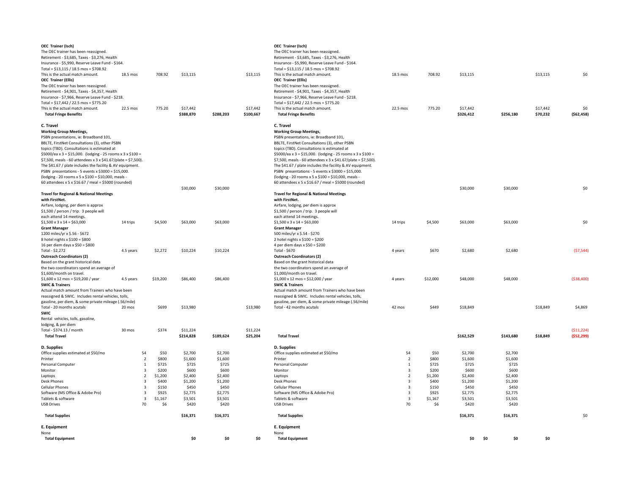| \$13,115            |                  | \$13,115              | This is the actual match amount.<br><b>OEC Trainer (Ellis)</b><br>The OEC trainer has been reassigned.<br>Retirement - \$4,901, Taxes - \$4,357, Health          | 18.5 mos | 708.92         | \$13,115              |                  | \$13,115             | \$0                      |
|---------------------|------------------|-----------------------|------------------------------------------------------------------------------------------------------------------------------------------------------------------|----------|----------------|-----------------------|------------------|----------------------|--------------------------|
| \$17,442<br>388,870 | \$288,203        | \$17,442<br>\$100,667 | Insurance - \$7,966, Reserve Leave Fund - \$218.<br>Total = $$17,442 / 22.5$ mos = $$775.20$<br>This is the actual match amount.<br><b>Total Fringe Benefits</b> | 22.5 mos | 775.20         | \$17,442<br>\$326,412 | \$256,180        | \$17,442<br>\$70,232 | \$0<br>( \$62,458)       |
|                     |                  |                       |                                                                                                                                                                  |          |                |                       |                  |                      |                          |
|                     |                  |                       | C. Travel<br><b>Working Group Meetings,</b>                                                                                                                      |          |                |                       |                  |                      |                          |
|                     |                  |                       | PSBN presentations, ie: Broadband 101,                                                                                                                           |          |                |                       |                  |                      |                          |
|                     |                  |                       | BBLTE, FirstNet Consultations (3), other PSBN                                                                                                                    |          |                |                       |                  |                      |                          |
|                     |                  |                       | topics (TBD). Consultations is estimated at                                                                                                                      |          |                |                       |                  |                      |                          |
|                     |                  |                       | \$5000/ea x 3 = \$15,000. (lodging - 25 rooms x 3 x \$100 =<br>\$7,500, meals - 60 attendees x 3 x \$41.67/plate = \$7,500).                                     |          |                |                       |                  |                      |                          |
|                     |                  |                       | The \$41.67 / plate includes the facility & AV equipment.                                                                                                        |          |                |                       |                  |                      |                          |
|                     |                  |                       | PSBN presentations - 5 events x $$3000 = $15,000$ .                                                                                                              |          |                |                       |                  |                      |                          |
|                     |                  |                       | (lodging - 20 rooms x 5 x \$100 = \$10,000, meals -                                                                                                              |          |                |                       |                  |                      |                          |
|                     |                  |                       | 60 attendees x 5 x \$16.67 / meal = \$5000 (rounded)                                                                                                             |          |                |                       |                  |                      |                          |
| \$30,000            | \$30,000         |                       | <b>Travel for Regional &amp; National Meetings</b>                                                                                                               |          |                | \$30,000              | \$30,000         |                      | \$0                      |
|                     |                  |                       | with FirstNet.                                                                                                                                                   |          |                |                       |                  |                      |                          |
|                     |                  |                       | Airfare, lodging, per diem is approx                                                                                                                             |          |                |                       |                  |                      |                          |
|                     |                  |                       | \$1,500 / person / trip. 3 people will                                                                                                                           |          |                |                       |                  |                      |                          |
|                     |                  |                       | each attend 14 meetings.                                                                                                                                         |          |                |                       |                  |                      |                          |
| \$63,000            | \$63,000         |                       | $$1,500 \times 3 \times 14 = $63,000$<br><b>Grant Manager</b>                                                                                                    | 14 trips | \$4,500        | \$63,000              | \$63,000         |                      | \$0                      |
|                     |                  |                       | 500 miles/yr x \$.54 - \$270                                                                                                                                     |          |                |                       |                  |                      |                          |
|                     |                  |                       | 2 hotel nights $x$ \$100 = \$200                                                                                                                                 |          |                |                       |                  |                      |                          |
|                     |                  |                       | 4 per diem days x \$50 = \$200                                                                                                                                   |          |                |                       |                  |                      |                          |
| \$10,224            | \$10,224         |                       | Total - \$670<br><b>Outreach Coordinators (2)</b>                                                                                                                | 4 years  | \$670          | \$2,680               | \$2,680          |                      | (57, 544)                |
|                     |                  |                       | Based on the grant historical data                                                                                                                               |          |                |                       |                  |                      |                          |
|                     |                  |                       | the two coordinators spend an average of                                                                                                                         |          |                |                       |                  |                      |                          |
|                     |                  |                       | \$1,000/month on travel.                                                                                                                                         |          |                |                       |                  |                      |                          |
| \$86,400            | \$86,400         |                       | $$1,000 \times 12 \text{ mos} = $12,000 / year$                                                                                                                  | 4 years  | \$12,000       | \$48,000              | \$48,000         |                      | ( \$38,400)              |
|                     |                  |                       | <b>SWIC &amp; Trainers</b><br>Actual match amount from Trainers who have been                                                                                    |          |                |                       |                  |                      |                          |
|                     |                  |                       | reassigned & SWIC. Includes rental vehicles, tolls,                                                                                                              |          |                |                       |                  |                      |                          |
|                     |                  |                       | gasoline, per diem, & some private mileage (.56/mile)                                                                                                            |          |                |                       |                  |                      |                          |
| \$13,980            |                  | \$13,980              | Total - 42 months acutals                                                                                                                                        | 42 mos   | \$449          | \$18,849              |                  | \$18,849             | \$4,869                  |
|                     |                  |                       |                                                                                                                                                                  |          |                |                       |                  |                      |                          |
| \$11,224<br>214,828 | \$189,624        | \$11,224<br>\$25,204  | <b>Total Travel</b>                                                                                                                                              |          |                | \$162,529             | \$143,680        | \$18,849             | (511, 224)<br>(552, 299) |
|                     |                  |                       |                                                                                                                                                                  |          |                |                       |                  |                      |                          |
|                     |                  |                       | D. Supplies                                                                                                                                                      |          |                |                       |                  |                      |                          |
| \$2,700             | \$2,700          |                       | Office supplies estimated at \$50/mo                                                                                                                             | 54       | \$50           | \$2,700               | \$2,700          |                      |                          |
| \$1,600<br>\$725    | \$1,600<br>\$725 |                       | Printer<br>Personal Computer                                                                                                                                     | 2<br>1   | \$800<br>\$725 | \$1,600<br>\$725      | \$1,600<br>\$725 |                      |                          |
| \$600               | \$600            |                       | Monitor                                                                                                                                                          | 3        | \$200          | \$600                 | \$600            |                      |                          |
| \$2,400             | \$2,400          |                       | Laptops                                                                                                                                                          | 2        | \$1,200        | \$2,400               | \$2,400          |                      |                          |
| \$1,200             | \$1,200          |                       | Desk Phones                                                                                                                                                      | 3        | \$400          | \$1,200               | \$1,200          |                      |                          |
| \$450               | \$450            |                       | <b>Cellular Phones</b>                                                                                                                                           | 3        | \$150          | \$450                 | \$450            |                      |                          |
| \$2,775             | \$2,775          |                       | Software (MS Office & Adobe Pro)                                                                                                                                 | 3        | \$925          | \$2,775               | \$2,775          |                      |                          |
| \$3,501             | \$3,501          |                       | Tablets & software<br><b>USB Drives</b>                                                                                                                          | 3        | \$1,167        | \$3,501               | \$3,501          |                      |                          |
| \$420               | \$420            |                       |                                                                                                                                                                  | 70       | \$6            | \$420                 | \$420            |                      |                          |
| \$16,371            | \$16,371         |                       | <b>Total Supplies</b>                                                                                                                                            |          |                | \$16,371              | \$16,371         |                      | \$0                      |
|                     |                  |                       | E. Equipment<br>None                                                                                                                                             |          |                |                       |                  |                      |                          |
|                     |                  |                       |                                                                                                                                                                  |          |                |                       |                  |                      |                          |

| <b>OEC Trainer (Isch)</b><br>The OEC trainer has been reassigned.<br>Retirement - \$3,685, Taxes - \$3,276, Health<br>Insurance - \$5,990, Reserve Leave Fund - \$164.<br>Total = $$13,115 / 18.5$ mos = $$708.92$                                                                                                                                                                                                                        |           |    |                  |                       |                    |                       | <b>OEC Trainer (Isch)</b><br>The OEC trainer has been reassigned.<br>Retirement - \$3,685, Taxes - \$3,276, Health<br>Insurance - \$5,990, Reserve Leave Fund - \$164.<br>Total = $$13,115 / 18.5$ mos = $$708.92$                                                                                                                                                                                                                        |          |                  |                       |     |                    |                      |                          |
|-------------------------------------------------------------------------------------------------------------------------------------------------------------------------------------------------------------------------------------------------------------------------------------------------------------------------------------------------------------------------------------------------------------------------------------------|-----------|----|------------------|-----------------------|--------------------|-----------------------|-------------------------------------------------------------------------------------------------------------------------------------------------------------------------------------------------------------------------------------------------------------------------------------------------------------------------------------------------------------------------------------------------------------------------------------------|----------|------------------|-----------------------|-----|--------------------|----------------------|--------------------------|
| This is the actual match amount.<br><b>OEC Trainer (Ellis)</b><br>The OEC trainer has been reassigned.<br>Retirement - \$4,901, Taxes - \$4,357, Health                                                                                                                                                                                                                                                                                   | 18.5 mos  |    | 708.92           | \$13,115              |                    | \$13,115              | This is the actual match amount.<br><b>OEC Trainer (Ellis)</b><br>The OEC trainer has been reassigned.<br>Retirement - \$4,901, Taxes - \$4,357, Health                                                                                                                                                                                                                                                                                   | 18.5 mos | 708.92           | \$13,115              |     |                    | \$13,115             | \$0                      |
| Insurance - \$7,966, Reserve Leave Fund - \$218.<br>Total = $$17,442 / 22.5$ mos = $$775.20$<br>This is the actual match amount.<br><b>Total Fringe Benefits</b>                                                                                                                                                                                                                                                                          | 22.5 mos  |    | 775.20           | \$17,442<br>\$388,870 | \$288,203          | \$17,442<br>\$100,667 | Insurance - \$7,966, Reserve Leave Fund - \$218.<br>Total = $$17,442 / 22.5$ mos = $$775.20$<br>This is the actual match amount.<br><b>Total Fringe Benefits</b>                                                                                                                                                                                                                                                                          | 22.5 mos | 775.20           | \$17,442<br>\$326,412 |     | \$256,180          | \$17,442<br>\$70,232 | \$0<br>( \$62, 458]      |
| C. Travel<br><b>Working Group Meetings,</b><br>PSBN presentations, ie: Broadband 101,<br>BBLTE, FirstNet Consultations (3), other PSBN<br>topics (TBD). Consultations is estimated at<br>\$5000/ea x 3 = \$15,000. (lodging - 25 rooms x 3 x \$100 =<br>\$7,500, meals - 60 attendees x 3 x \$41.67/plate = \$7,500).<br>The \$41.67 / plate includes the facility & AV equipment.<br>PSBN presentations - 5 events x $$3000 = $15,000$ . |           |    |                  |                       |                    |                       | C. Travel<br><b>Working Group Meetings,</b><br>PSBN presentations, ie: Broadband 101,<br>BBLTE, FirstNet Consultations (3), other PSBN<br>topics (TBD). Consultations is estimated at<br>\$5000/ea x 3 = \$15,000. (lodging - 25 rooms x 3 x \$100 =<br>\$7,500, meals - 60 attendees x 3 x \$41.67/plate = \$7,500).<br>The \$41.67 / plate includes the facility & AV equipment.<br>PSBN presentations - 5 events x $$3000 = $15,000$ . |          |                  |                       |     |                    |                      |                          |
| (lodging - 20 rooms x 5 x \$100 = \$10,000, meals -<br>60 attendees x 5 x \$16.67 / meal = \$5000 (rounded)                                                                                                                                                                                                                                                                                                                               |           |    |                  |                       |                    |                       | (lodging - 20 rooms x 5 x \$100 = \$10,000, meals -<br>60 attendees x 5 x \$16.67 / meal = \$5000 (rounded)                                                                                                                                                                                                                                                                                                                               |          |                  |                       |     |                    |                      |                          |
| <b>Travel for Regional &amp; National Meetings</b>                                                                                                                                                                                                                                                                                                                                                                                        |           |    |                  | \$30,000              | \$30,000           |                       | <b>Travel for Regional &amp; National Meetings</b>                                                                                                                                                                                                                                                                                                                                                                                        |          |                  | \$30,000              |     | \$30,000           |                      | \$0                      |
| with FirstNet.<br>Airfare, lodging, per diem is approx<br>\$1,500 / person / trip. 3 people will                                                                                                                                                                                                                                                                                                                                          |           |    |                  |                       |                    |                       | with FirstNet.<br>Airfare, lodging, per diem is approx<br>\$1,500 / person / trip. 3 people will                                                                                                                                                                                                                                                                                                                                          |          |                  |                       |     |                    |                      |                          |
| each attend 14 meetings.<br>$$1,500 \times 3 \times 14 = $63,000$<br><b>Grant Manager</b><br>1200 miles/yr x \$.56 - \$672                                                                                                                                                                                                                                                                                                                | 14 trips  |    | \$4,500          | \$63,000              | \$63,000           |                       | each attend 14 meetings.<br>$$1,500 \times 3 \times 14 = $63,000$<br><b>Grant Manager</b><br>500 miles/yr x \$.54 - \$270                                                                                                                                                                                                                                                                                                                 | 14 trips | \$4,500          | \$63,000              |     | \$63,000           |                      | \$0                      |
| 8 hotel nights $x$ \$100 = \$800<br>16 per diem days x \$50 = \$800<br>Total - \$2,272<br><b>Outreach Coordinators (2)</b>                                                                                                                                                                                                                                                                                                                | 4.5 years |    | \$2,272          | \$10,224              | \$10,224           |                       | 2 hotel nights $x$ \$100 = \$200<br>4 per diem days x \$50 = \$200<br>Total - \$670<br><b>Outreach Coordinators (2)</b>                                                                                                                                                                                                                                                                                                                   | 4 years  | \$670            | \$2,680               |     | \$2,680            |                      | (57, 544)                |
| Based on the grant historical data<br>the two coordinators spend an average of<br>\$1,600/month on travel.                                                                                                                                                                                                                                                                                                                                |           |    |                  |                       |                    |                       | Based on the grant historical data<br>the two coordinators spend an average of<br>\$1,000/month on travel.                                                                                                                                                                                                                                                                                                                                |          |                  |                       |     |                    |                      |                          |
| $$1,600 \times 12 \text{ mos} = $19,200 / \text{year}$<br><b>SWIC &amp; Trainers</b><br>Actual match amount from Trainers who have been                                                                                                                                                                                                                                                                                                   | 4.5 years |    | \$19,200         | \$86,400              | \$86,400           |                       | $$1,000 \times 12 \text{ mos} = $12,000 / year$<br><b>SWIC &amp; Trainers</b><br>Actual match amount from Trainers who have been                                                                                                                                                                                                                                                                                                          | 4 years  | \$12,000         | \$48,000              |     | \$48,000           |                      | ( \$38,400]              |
| reassigned & SWIC. Includes rental vehicles, tolls,<br>gasoline, per diem, & some private mileage (.56/mile)                                                                                                                                                                                                                                                                                                                              |           |    |                  |                       |                    |                       | reassigned & SWIC. Includes rental vehicles, tolls,<br>gasoline, per diem, & some private mileage (.56/mile)                                                                                                                                                                                                                                                                                                                              |          |                  |                       |     |                    |                      |                          |
| Total - 20 months acutals<br><b>SWIC</b>                                                                                                                                                                                                                                                                                                                                                                                                  | 20 mos    |    | \$699            | \$13,980              |                    | \$13,980              | Total - 42 months acutals                                                                                                                                                                                                                                                                                                                                                                                                                 | 42 mos   | \$449            | \$18,849              |     |                    | \$18,849             | \$4,869                  |
| Rental vehicles, tolls, gasoline,<br>lodging, & per diem                                                                                                                                                                                                                                                                                                                                                                                  |           |    |                  |                       |                    |                       |                                                                                                                                                                                                                                                                                                                                                                                                                                           |          |                  |                       |     |                    |                      |                          |
| Total - \$374.13 / month<br><b>Total Travel</b>                                                                                                                                                                                                                                                                                                                                                                                           | 30 mos    |    | \$374            | \$11,224<br>\$214,828 | \$189,624          | \$11,224<br>\$25,204  | <b>Total Travel</b>                                                                                                                                                                                                                                                                                                                                                                                                                       |          |                  | \$162,529             |     | \$143,680          | \$18,849             | (511, 224)<br>(552, 299) |
| D. Supplies                                                                                                                                                                                                                                                                                                                                                                                                                               |           |    |                  |                       |                    |                       | D. Supplies                                                                                                                                                                                                                                                                                                                                                                                                                               |          |                  |                       |     |                    |                      |                          |
| Office supplies estimated at \$50/mo                                                                                                                                                                                                                                                                                                                                                                                                      |           | 54 | \$50             | \$2,700               | \$2,700            |                       | Office supplies estimated at \$50/mo                                                                                                                                                                                                                                                                                                                                                                                                      | 54       | \$50             | \$2,700               |     | \$2,700            |                      |                          |
| Printer<br>Personal Computer                                                                                                                                                                                                                                                                                                                                                                                                              |           |    | \$800<br>\$725   | \$1,600<br>\$725      | \$1,600<br>\$725   |                       | Printer<br><b>Personal Computer</b>                                                                                                                                                                                                                                                                                                                                                                                                       |          | \$800<br>\$725   | \$1,600<br>\$725      |     | \$1,600<br>\$725   |                      |                          |
| Monitor                                                                                                                                                                                                                                                                                                                                                                                                                                   |           |    | \$200            | \$600                 | \$600              |                       | Monitor                                                                                                                                                                                                                                                                                                                                                                                                                                   |          | \$200            | \$600                 |     | \$600              |                      |                          |
| Laptops                                                                                                                                                                                                                                                                                                                                                                                                                                   |           |    | \$1,200          | \$2,400               | \$2,400            |                       | Laptops                                                                                                                                                                                                                                                                                                                                                                                                                                   |          | \$1,200          | \$2,400               |     | \$2,400            |                      |                          |
| <b>Desk Phones</b>                                                                                                                                                                                                                                                                                                                                                                                                                        |           |    | \$400            | \$1,200               | \$1,200            |                       | <b>Desk Phones</b>                                                                                                                                                                                                                                                                                                                                                                                                                        |          | \$400            | \$1,200               |     | \$1,200            |                      |                          |
| <b>Cellular Phones</b>                                                                                                                                                                                                                                                                                                                                                                                                                    |           |    | \$150            | \$450                 | \$450              |                       | <b>Cellular Phones</b>                                                                                                                                                                                                                                                                                                                                                                                                                    |          | \$150            | \$450                 |     | \$450              |                      |                          |
| Software (MS Office & Adobe Pro)<br>Tablets & software                                                                                                                                                                                                                                                                                                                                                                                    |           | 3  | \$925<br>\$1,167 | \$2,775<br>\$3,501    | \$2,775<br>\$3,501 |                       | Software (MS Office & Adobe Pro)<br>Tablets & software                                                                                                                                                                                                                                                                                                                                                                                    | 3        | \$925<br>\$1,167 | \$2,775<br>\$3,501    |     | \$2,775<br>\$3,501 |                      |                          |
| <b>USB Drives</b>                                                                                                                                                                                                                                                                                                                                                                                                                         |           | 70 | \$6              | \$420                 | \$420              |                       | <b>USB Drives</b>                                                                                                                                                                                                                                                                                                                                                                                                                         | 70       | \$6              | \$420                 |     | \$420              |                      |                          |
| <b>Total Supplies</b>                                                                                                                                                                                                                                                                                                                                                                                                                     |           |    |                  | \$16,371              | \$16,371           |                       | <b>Total Supplies</b>                                                                                                                                                                                                                                                                                                                                                                                                                     |          |                  | \$16,371              |     | \$16,371           |                      | \$0                      |
| E. Equipment                                                                                                                                                                                                                                                                                                                                                                                                                              |           |    |                  |                       |                    |                       | E. Equipment                                                                                                                                                                                                                                                                                                                                                                                                                              |          |                  |                       |     |                    |                      |                          |
| None<br><b>Total Equipment</b>                                                                                                                                                                                                                                                                                                                                                                                                            |           |    |                  | \$0                   | \$0                | \$0                   | None<br><b>Total Equipment</b>                                                                                                                                                                                                                                                                                                                                                                                                            |          |                  | \$0                   | \$0 | \$0                | \$0                  |                          |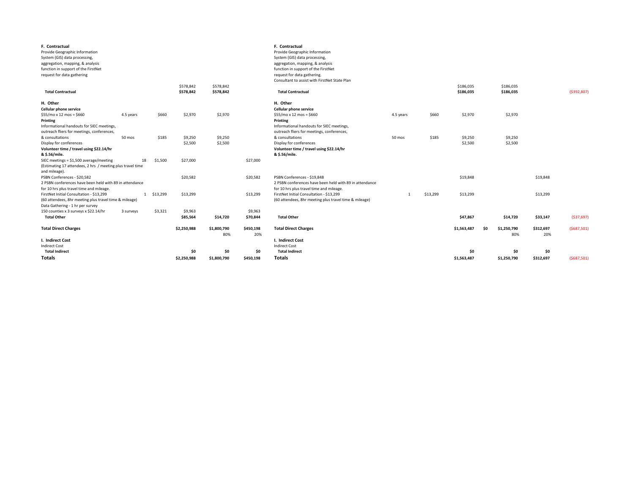| F. Contractual<br>Provide Geographic Information<br>System (GIS) data processing,<br>aggregation, mapping, & analysis<br>function in support of the FirstNet<br>request for data gathering       |           |          | \$578,842           | \$578,842          |                     | F. Contractual<br>Provide Geographic Information<br>System (GIS) data processing,<br>aggregation, mapping, & analysis<br>function in support of the FirstNet<br>request for data gathering.<br>Consultant to assist with FirstNet State Plan |           |          | \$186,035          |     | \$186,035          |                  |               |
|--------------------------------------------------------------------------------------------------------------------------------------------------------------------------------------------------|-----------|----------|---------------------|--------------------|---------------------|----------------------------------------------------------------------------------------------------------------------------------------------------------------------------------------------------------------------------------------------|-----------|----------|--------------------|-----|--------------------|------------------|---------------|
| <b>Total Contractual</b>                                                                                                                                                                         |           |          | \$578,842           | \$578,842          |                     | <b>Total Contractual</b>                                                                                                                                                                                                                     |           |          | \$186,035          |     | \$186,035          |                  | ( \$392, 807) |
| H. Other<br><b>Cellular phone service</b><br>$$55/mo \times 12 \text{ mos} = $660$<br><b>Printing</b><br>Informational handouts for SIEC meetings,<br>outreach fliers for meetings, conferences, | 4.5 years | \$660    | \$2,970             | \$2,970            |                     | H. Other<br><b>Cellular phone service</b><br>$$55/mo \times 12 \text{ mos} = $660$<br><b>Printing</b><br>Informational handouts for SIEC meetings,<br>outreach fliers for meetings, conferences,                                             | 4.5 years | \$660    | \$2,970            |     | \$2,970            |                  |               |
| & consultations<br>Display for conferences<br>Volunteer time / travel using \$22.14/hr<br>& \$.56/mile.                                                                                          | 50 mos    | \$185    | \$9,250<br>\$2,500  | \$9,250<br>\$2,500 |                     | & consultations<br>Display for conferences<br>Volunteer time / travel using \$22.14/hr<br>& \$.56/mile.                                                                                                                                      | 50 mos    | \$185    | \$9,250<br>\$2,500 |     | \$9,250<br>\$2,500 |                  |               |
| SIEC meetings = $$1,500$ average/meeting<br>(Estimating 17 attendees, 2 hrs / meeting plus travel time<br>and mileage).                                                                          | 18        | \$1,500  | \$27,000            |                    | \$27,000            |                                                                                                                                                                                                                                              |           |          |                    |     |                    |                  |               |
| PSBN Conferences - \$20,582<br>2 PSBN conferences have been held with 89 in attendance<br>for 10 hrs plus travel time and mileage.                                                               |           |          | \$20,582            |                    | \$20,582            | PSBN Conferences - \$19,848<br>2 PSBN conferences have been held with 89 in attendance<br>for 10 hrs plus travel time and mileage.                                                                                                           |           |          | \$19,848           |     |                    | \$19,848         |               |
| FirstNet Initial Consultation - \$13,299<br>(60 attendees, 8hr meeting plus travel time & mileage)<br>Data Gathering - 1 hr per survey                                                           |           | \$13,299 | \$13,299            |                    | \$13,299            | FirstNet Initial Consultation - \$13,299<br>(60 attendees, 8hr meeting plus travel time & mileage)                                                                                                                                           |           | \$13,299 | \$13,299           |     |                    | \$13,299         |               |
| 150 counties x 3 surveys x \$22.14/hr<br><b>Total Other</b>                                                                                                                                      | 3 surveys | \$3,321  | \$9,963<br>\$85,564 | \$14,720           | \$9,963<br>\$70,844 | <b>Total Other</b>                                                                                                                                                                                                                           |           |          | \$47,867           |     | \$14,720           | \$33,147         | ( \$37,697)   |
| <b>Total Direct Charges</b>                                                                                                                                                                      |           |          | \$2,250,988         | \$1,800,790<br>80% | \$450,198<br>20%    | <b>Total Direct Charges</b>                                                                                                                                                                                                                  |           |          | \$1,563,487        | \$0 | \$1,250,790<br>80% | \$312,697<br>20% | (5687,501)    |
| I. Indirect Cost                                                                                                                                                                                 |           |          |                     |                    |                     | I. Indirect Cost                                                                                                                                                                                                                             |           |          |                    |     |                    |                  |               |
| <b>Indirect Cost</b>                                                                                                                                                                             |           |          |                     |                    |                     | <b>Indirect Cost</b>                                                                                                                                                                                                                         |           |          |                    |     |                    |                  |               |
| <b>Total Indirect</b>                                                                                                                                                                            |           |          | \$0                 | \$0                | \$0                 | <b>Total Indirect</b>                                                                                                                                                                                                                        |           |          | \$0                |     | \$0                | \$0              |               |
| <b>Totals</b>                                                                                                                                                                                    |           |          | \$2,250,988         | \$1,800,790        | \$450,198           | <b>Totals</b>                                                                                                                                                                                                                                |           |          | \$1,563,487        |     | \$1,250,790        | \$312,697        | (5687,501)    |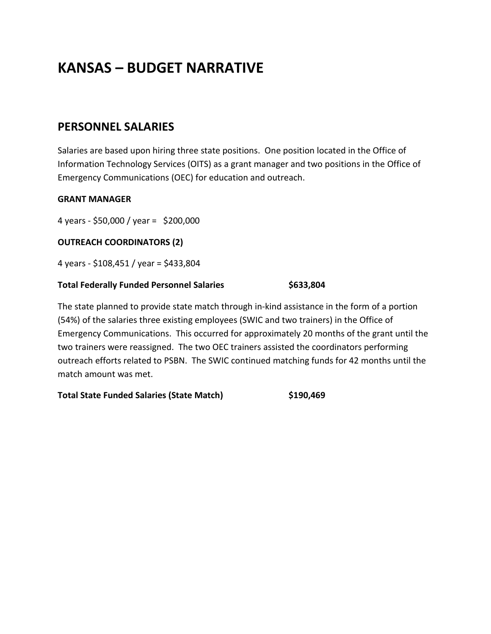# **KANSAS – BUDGET NARRATIVE**

## **PERSONNEL SALARIES**

Salaries are based upon hiring three state positions. One position located in the Office of Information Technology Services (OITS) as a grant manager and two positions in the Office of Emergency Communications (OEC) for education and outreach.

### **GRANT MANAGER**

4 years - \$50,000 / year = \$200,000

### **OUTREACH COORDINATORS (2)**

4 years - \$108,451 / year = \$433,804

### **Total Federally Funded Personnel Salaries \$633,804**

The state planned to provide state match through in-kind assistance in the form of a portion (54%) of the salaries three existing employees (SWIC and two trainers) in the Office of Emergency Communications. This occurred for approximately 20 months of the grant until the two trainers were reassigned. The two OEC trainers assisted the coordinators performing outreach efforts related to PSBN. The SWIC continued matching funds for 42 months until the match amount was met.

**Total State Funded Salaries (State Match) \$190,469**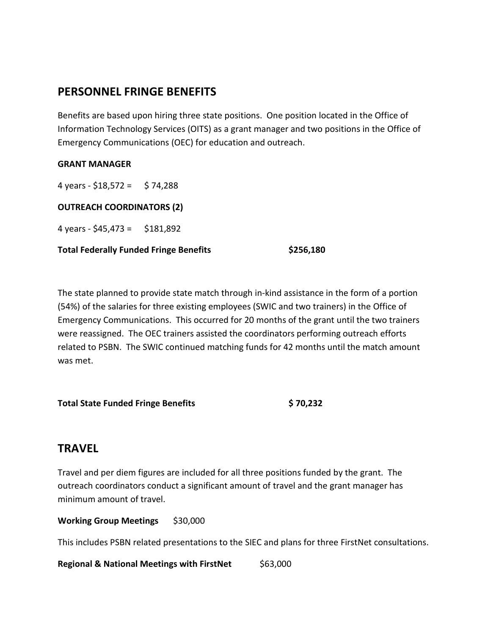## **PERSONNEL FRINGE BENEFITS**

Benefits are based upon hiring three state positions. One position located in the Office of Information Technology Services (OITS) as a grant manager and two positions in the Office of Emergency Communications (OEC) for education and outreach.

### **GRANT MANAGER**

4 years -  $$18,572 = $74,288$ 

**OUTREACH COORDINATORS (2)**

4 years -  $$45,473 = $181,892$ 

**Total Federally Funded Fringe Benefits \$256,180**

The state planned to provide state match through in-kind assistance in the form of a portion (54%) of the salaries for three existing employees (SWIC and two trainers) in the Office of Emergency Communications. This occurred for 20 months of the grant until the two trainers were reassigned. The OEC trainers assisted the coordinators performing outreach efforts related to PSBN. The SWIC continued matching funds for 42 months until the match amount was met.

**Total State Funded Fringe Benefits \$ 70,232**

## **TRAVEL**

Travel and per diem figures are included for all three positions funded by the grant. The outreach coordinators conduct a significant amount of travel and the grant manager has minimum amount of travel.

**Working Group Meetings \$30,000** 

This includes PSBN related presentations to the SIEC and plans for three FirstNet consultations.

**Regional & National Meetings with FirstNet** \$63,000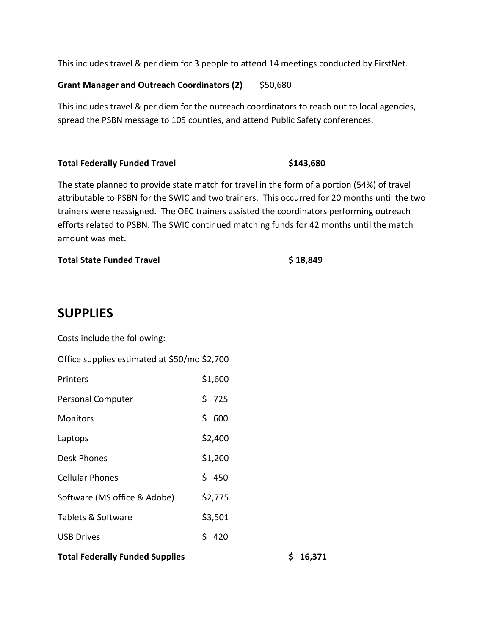This includes travel & per diem for 3 people to attend 14 meetings conducted by FirstNet.

#### **Grant Manager and Outreach Coordinators (2)** \$50,680

This includes travel & per diem for the outreach coordinators to reach out to local agencies, spread the PSBN message to 105 counties, and attend Public Safety conferences.

#### **Total Federally Funded Travel \$143,680**

The state planned to provide state match for travel in the form of a portion (54%) of travel attributable to PSBN for the SWIC and two trainers. This occurred for 20 months until the two trainers were reassigned. The OEC trainers assisted the coordinators performing outreach efforts related to PSBN. The SWIC continued matching funds for 42 months until the match amount was met.

### **Total State Funded Travel <b>8** 18,849

## **SUPPLIES**

Costs include the following:

| Office supplies estimated at \$50/mo \$2,700 |         |
|----------------------------------------------|---------|
| Printers                                     | \$1,600 |
| <b>Personal Computer</b>                     | \$725   |
| <b>Monitors</b>                              | \$600   |
| Laptops                                      | \$2,400 |
| Desk Phones                                  | \$1,200 |
| <b>Cellular Phones</b>                       | \$450   |
| Software (MS office & Adobe)                 | \$2,775 |
| Tablets & Software                           | \$3,501 |
| <b>USB Drives</b>                            | \$ 420  |
| <b>Total Federally Funded Supplies</b>       |         |

 $$16,371$